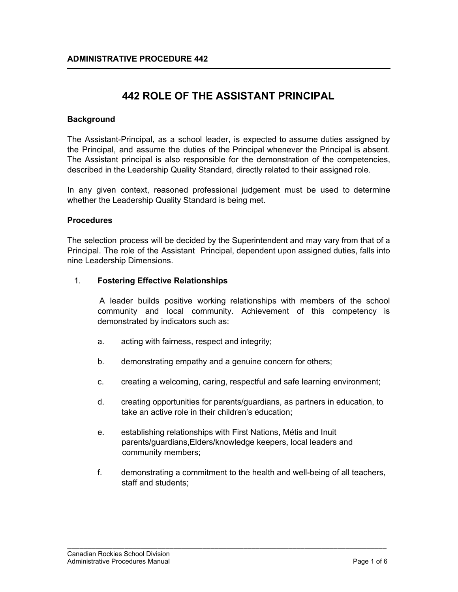# **442 ROLE OF THE ASSISTANT PRINCIPAL**

### **Background**

The Assistant-Principal, as a school leader, is expected to assume duties assigned by the Principal, and assume the duties of the Principal whenever the Principal is absent. The Assistant principal is also responsible for the demonstration of the competencies, described in the Leadership Quality Standard, directly related to their assigned role.

In any given context, reasoned professional judgement must be used to determine whether the Leadership Quality Standard is being met.

#### **Procedures**

The selection process will be decided by the Superintendent and may vary from that of a Principal. The role of the Assistant Principal, dependent upon assigned duties, falls into nine Leadership Dimensions.

#### 1. **Fostering Effective Relationships**

A leader builds positive working relationships with members of the school community and local community. Achievement of this competency is demonstrated by indicators such as:

- a. acting with fairness, respect and integrity;
- b. demonstrating empathy and a genuine concern for others;
- c. creating a welcoming, caring, respectful and safe learning environment;
- d. creating opportunities for parents/guardians, as partners in education, to take an active role in their children's education;
- e. establishing relationships with First Nations, Métis and Inuit parents/guardians,Elders/knowledge keepers, local leaders and community members;

\_\_\_\_\_\_\_\_\_\_\_\_\_\_\_\_\_\_\_\_\_\_\_\_\_\_\_\_\_\_\_\_\_\_\_\_\_\_\_\_\_\_\_\_\_\_\_\_\_\_\_\_\_\_\_\_\_\_\_\_\_\_\_\_\_\_\_\_\_\_\_\_\_\_\_\_\_\_

f. demonstrating a commitment to the health and well-being of all teachers, staff and students;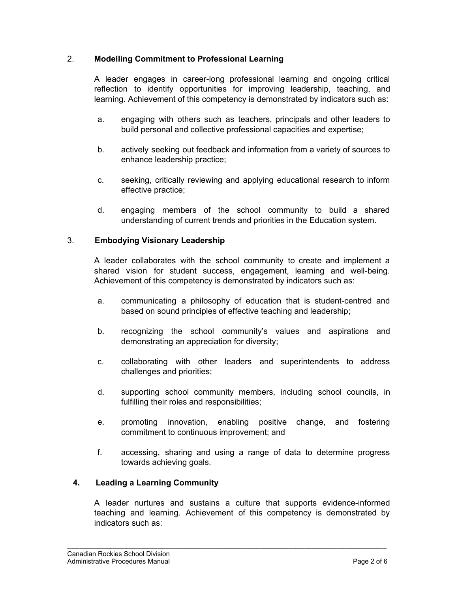### 2. **Modelling Commitment to Professional Learning**

A leader engages in career-long professional learning and ongoing critical reflection to identify opportunities for improving leadership, teaching, and learning. Achievement of this competency is demonstrated by indicators such as:

- a. engaging with others such as teachers, principals and other leaders to build personal and collective professional capacities and expertise;
- b. actively seeking out feedback and information from a variety of sources to enhance leadership practice;
- c. seeking, critically reviewing and applying educational research to inform effective practice;
- d. engaging members of the school community to build a shared understanding of current trends and priorities in the Education system.

### 3. **Embodying Visionary Leadership**

A leader collaborates with the school community to create and implement a shared vision for student success, engagement, learning and well-being. Achievement of this competency is demonstrated by indicators such as:

- a. communicating a philosophy of education that is student-centred and based on sound principles of effective teaching and leadership;
- b. recognizing the school community's values and aspirations and demonstrating an appreciation for diversity;
- c. collaborating with other leaders and superintendents to address challenges and priorities;
- d. supporting school community members, including school councils, in fulfilling their roles and responsibilities;
- e. promoting innovation, enabling positive change, and fostering commitment to continuous improvement; and
- f. accessing, sharing and using a range of data to determine progress towards achieving goals.

### **4. Leading a Learning Community**

A leader nurtures and sustains a culture that supports evidence-informed teaching and learning. Achievement of this competency is demonstrated by indicators such as: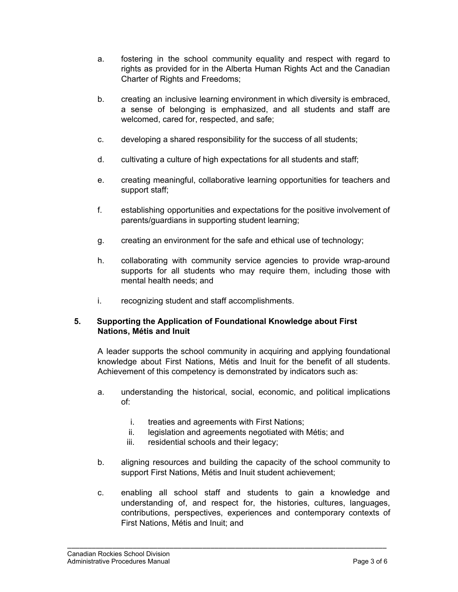- a. fostering in the school community equality and respect with regard to rights as provided for in the Alberta Human Rights Act and the Canadian Charter of Rights and Freedoms;
- b. creating an inclusive learning environment in which diversity is embraced, a sense of belonging is emphasized, and all students and staff are welcomed, cared for, respected, and safe;
- c. developing a shared responsibility for the success of all students;
- d. cultivating a culture of high expectations for all students and staff;
- e. creating meaningful, collaborative learning opportunities for teachers and support staff;
- f. establishing opportunities and expectations for the positive involvement of parents/guardians in supporting student learning;
- g. creating an environment for the safe and ethical use of technology;
- h. collaborating with community service agencies to provide wrap-around supports for all students who may require them, including those with mental health needs; and
- i. recognizing student and staff accomplishments.

# **5. Supporting the Application of Foundational Knowledge about First Nations, Métis and Inuit**

A leader supports the school community in acquiring and applying foundational knowledge about First Nations, Métis and Inuit for the benefit of all students. Achievement of this competency is demonstrated by indicators such as:

- a. understanding the historical, social, economic, and political implications of:
	- i. treaties and agreements with First Nations;
	- ii. legislation and agreements negotiated with Métis; and
	- iii. residential schools and their legacy;
- b. aligning resources and building the capacity of the school community to support First Nations, Métis and Inuit student achievement;
- c. enabling all school staff and students to gain a knowledge and understanding of, and respect for, the histories, cultures, languages, contributions, perspectives, experiences and contemporary contexts of First Nations, Métis and Inuit; and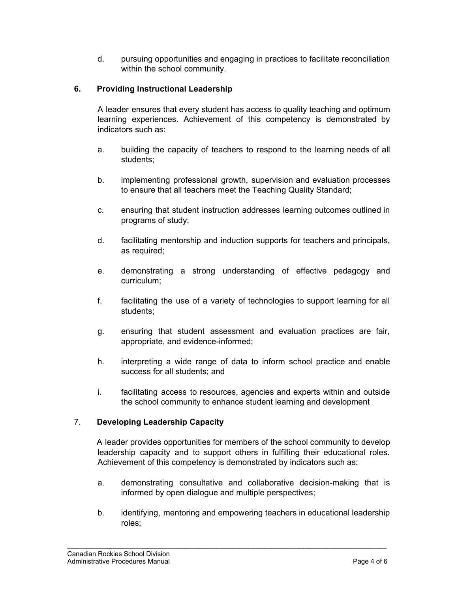d. pursuing opportunities and engaging in practices to facilitate reconciliation within the school community.

# **6. Providing Instructional Leadership**

A leader ensures that every student has access to quality teaching and optimum learning experiences. Achievement of this competency is demonstrated by indicators such as:

- a. building the capacity of teachers to respond to the learning needs of all students;
- b. implementing professional growth, supervision and evaluation processes to ensure that all teachers meet the Teaching Quality Standard;
- c. ensuring that student instruction addresses learning outcomes outlined in programs of study;
- d. facilitating mentorship and induction supports for teachers and principals, as required;
- e. demonstrating a strong understanding of effective pedagogy and curriculum;
- f. facilitating the use of a variety of technologies to support learning for all students;
- g. ensuring that student assessment and evaluation practices are fair, appropriate, and evidence-informed;
- h. interpreting a wide range of data to inform school practice and enable success for all students; and
- i. facilitating access to resources, agencies and experts within and outside the school community to enhance student learning and development

# 7. **Developing Leadership Capacity**

A leader provides opportunities for members of the school community to develop leadership capacity and to support others in fulfilling their educational roles. Achievement of this competency is demonstrated by indicators such as:

- a. demonstrating consultative and collaborative decision-making that is informed by open dialogue and multiple perspectives;
- b. identifying, mentoring and empowering teachers in educational leadership roles;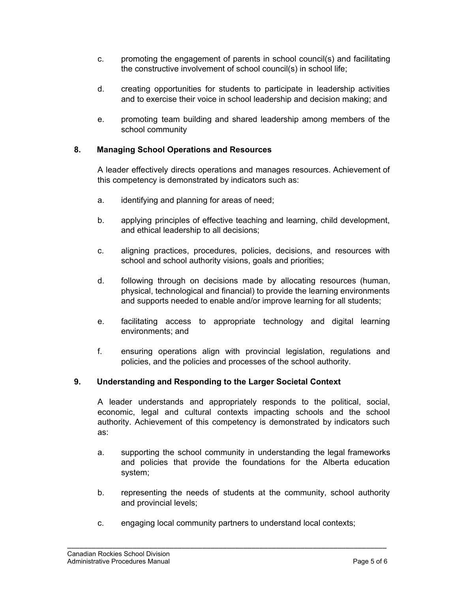- c. promoting the engagement of parents in school council(s) and facilitating the constructive involvement of school council(s) in school life;
- d. creating opportunities for students to participate in leadership activities and to exercise their voice in school leadership and decision making; and
- e. promoting team building and shared leadership among members of the school community

# **8. Managing School Operations and Resources**

A leader effectively directs operations and manages resources. Achievement of this competency is demonstrated by indicators such as:

- a. identifying and planning for areas of need;
- b. applying principles of effective teaching and learning, child development, and ethical leadership to all decisions;
- c. aligning practices, procedures, policies, decisions, and resources with school and school authority visions, goals and priorities;
- d. following through on decisions made by allocating resources (human, physical, technological and financial) to provide the learning environments and supports needed to enable and/or improve learning for all students;
- e. facilitating access to appropriate technology and digital learning environments; and
- f. ensuring operations align with provincial legislation, regulations and policies, and the policies and processes of the school authority.

# **9. Understanding and Responding to the Larger Societal Context**

A leader understands and appropriately responds to the political, social, economic, legal and cultural contexts impacting schools and the school authority. Achievement of this competency is demonstrated by indicators such as:

- a. supporting the school community in understanding the legal frameworks and policies that provide the foundations for the Alberta education system;
- b. representing the needs of students at the community, school authority and provincial levels;
- c. engaging local community partners to understand local contexts;